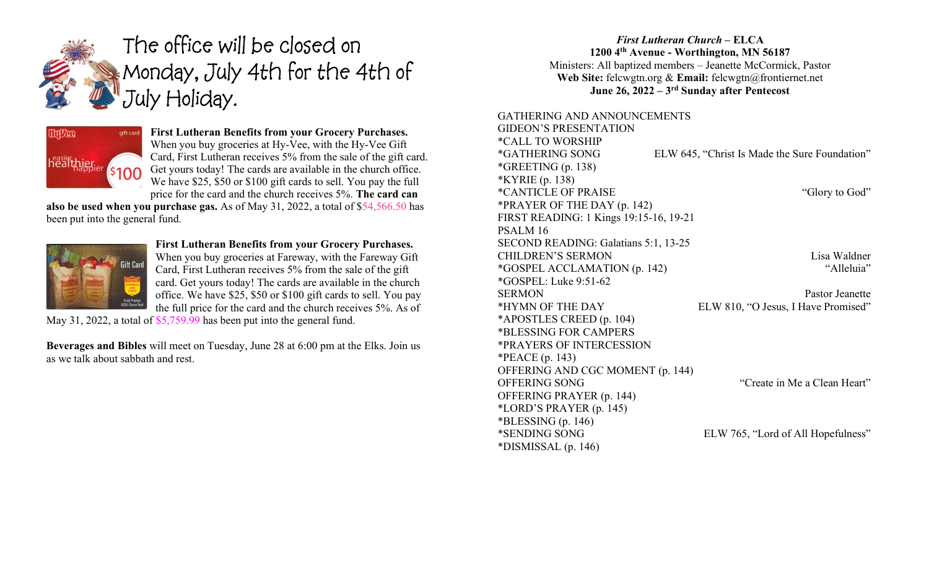

# The office will be closed on Monday, July 4th for the 4th of July Holiday.



#### First Lutheran Benefits from your Grocery Purchases. When you buy groceries at Hy-Vee, with the Hy-Vee Gift Card, First Lutheran receives 5% from the sale of the gift card. Get yours today! The cards are available in the church office. We have \$25, \$50 or \$100 gift cards to sell. You pay the full price for the card and the church receives 5%. The card can

also be used when you purchase gas. As of May 31, 2022, a total of \$54,566.50 has been put into the general fund.



# First Lutheran Benefits from your Grocery Purchases.

When you buy groceries at Fareway, with the Fareway Gift Card, First Lutheran receives 5% from the sale of the gift card. Get yours today! The cards are available in the church office. We have \$25, \$50 or \$100 gift cards to sell. You pay the full price for the card and the church receives 5%. As of

May 31, 2022, a total of \$5,759.99 has been put into the general fund.

Beverages and Bibles will meet on Tuesday, June 28 at 6:00 pm at the Elks. Join us as we talk about sabbath and rest.

### First Lutheran Church – ELCA 1200 4th Avenue - Worthington, MN 56187 Ministers: All baptized members – Jeanette McCormick, Pastor Web Site: felcwgtn.org & Email: felcwgtn@frontiernet.net June 26, 2022 – 3rd Sunday after Pentecost

#### GATHERING AND ANNOUNCEMENTS  $CIDEON$  is a present a thon

| <u>UILLEUN 5 PRESENTATIUN</u>          |                                               |
|----------------------------------------|-----------------------------------------------|
| <i><b>*CALL TO WORSHIP</b></i>         |                                               |
| *GATHERING SONG                        | ELW 645, "Christ Is Made the Sure Foundation" |
| *GREETING $(p. 138)$                   |                                               |
| *KYRIE (p. 138)                        |                                               |
| <i>*CANTICLE OF PRAISE</i>             | "Glory to God"                                |
| *PRAYER OF THE DAY (p. 142)            |                                               |
| FIRST READING: 1 Kings 19:15-16, 19-21 |                                               |
| PSALM <sub>16</sub>                    |                                               |
| SECOND READING: Galatians 5:1, 13-25   |                                               |
| <b>CHILDREN'S SERMON</b>               | Lisa Waldner                                  |
| *GOSPEL ACCLAMATION (p. 142)           | "Alleluia"                                    |
| <i>*GOSPEL: Luke 9:51-62</i>           |                                               |
| <b>SERMON</b>                          | Pastor Jeanette                               |
| *HYMN OF THE DAY                       | ELW 810, "O Jesus, I Have Promised"           |
| *APOSTLES CREED (p. 104)               |                                               |
| *BLESSING FOR CAMPERS                  |                                               |
| *PRAYERS OF INTERCESSION               |                                               |
| *PEACE $(p. 143)$                      |                                               |
| OFFERING AND CGC MOMENT (p. 144)       |                                               |
| OFFERING SONG                          | "Create in Me a Clean Heart"                  |
| OFFERING PRAYER (p. 144)               |                                               |
| *LORD'S PRAYER $(p. 145)$              |                                               |
| $*BLESSING (p. 146)$                   |                                               |
| *SENDING SONG                          | ELW 765, "Lord of All Hopefulness"            |
| $*DISMISSAL$ (p. 146)                  |                                               |